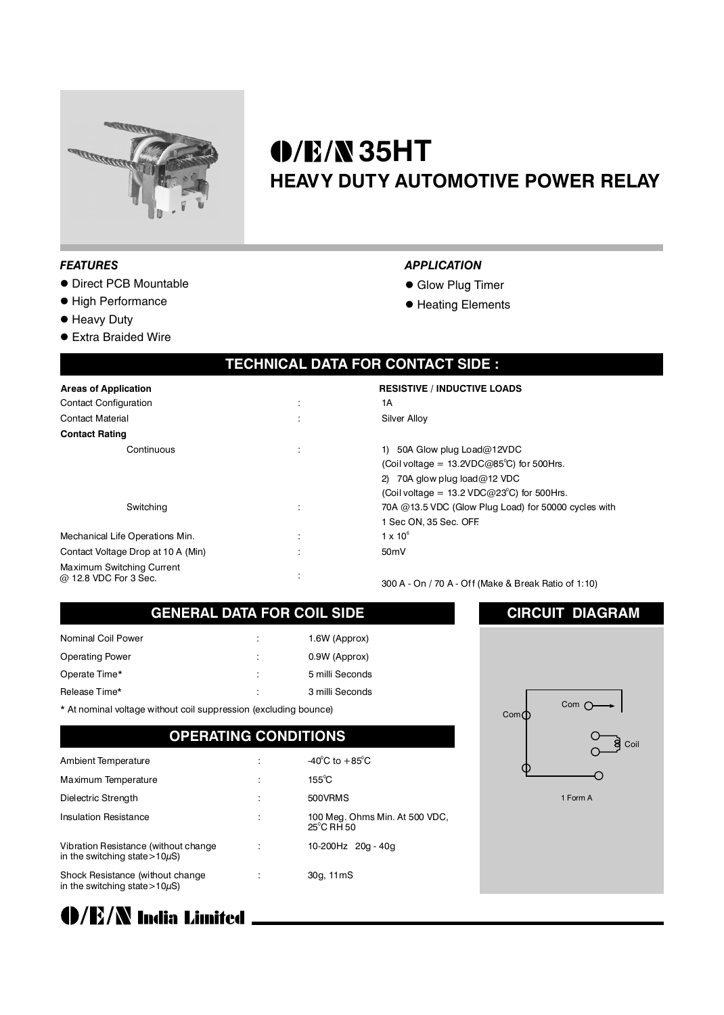

# **35HT HEAVY DUTY AUTOMOTIVE POWER RELAY**

*APPLICATION* **· Glow Plug Timer • Heating Elements** 

#### *FEATURES*

- **Direct PCB Mountable**
- **High Performance**
- **e** Heavy Duty
- **Extra Braided Wire**

#### **TECHNICAL DATA FOR CONTACT SIDE :**

| <b>Areas of Application</b>                        |                      | <b>RESISTIVE / INDUCTIVE LOADS</b>                                                                                                                                                                                                 |
|----------------------------------------------------|----------------------|------------------------------------------------------------------------------------------------------------------------------------------------------------------------------------------------------------------------------------|
| <b>Contact Configuration</b>                       | $\bullet$<br>$\cdot$ | 1А                                                                                                                                                                                                                                 |
| <b>Contact Material</b>                            | $\cdot$              | Silver Alloy                                                                                                                                                                                                                       |
| <b>Contact Rating</b>                              |                      |                                                                                                                                                                                                                                    |
| Continuous<br>Switching                            | ÷<br>÷               | 1) 50A Glow plug $Load@12VDC$<br>(Coil voltage = $13.2$ VDC@85 <sup>°</sup> C) fo<br>2) 70A glow plug $load@12$ VDC<br>(Coil voltage = $13.2$ VDC@23 <sup>°</sup> C) f<br>70A @13.5 VDC (Glow Plug Load)<br>1 Sec ON, 35 Sec. OFF. |
| Mechanical Life Operations Min.                    |                      | $1 \times 10^6$                                                                                                                                                                                                                    |
| Contact Voltage Drop at 10 A (Min)                 |                      | 50 <sub>m</sub> V                                                                                                                                                                                                                  |
| Maximum Switching Current<br>@ 12.8 VDC For 3. Sec | $\cdot$              |                                                                                                                                                                                                                                    |

or 500Hrs. for 500Hrs. for 50000 cycles with

8 VDC For 3 Sec. 2012 1:00 Sec. 300 A - On / 70 A - Off (Make & Break Ratio of 1:10)

### **GENERAL DATA FOR COIL SIDE**

| ÷ | 1.6W (Approx)   |
|---|-----------------|
| ÷ | 0.9W (Approx)   |
| ÷ | 5 milli Seconds |
| ÷ | 3 milli Seconds |
|   |                 |

\* At nominal voltage without coil suppression (excluding bounce)

### **OPERATING CONDITIONS**

| Ambient Temperature                                                          | -40 $^{\circ}$ C to +85 $^{\circ}$ C         |
|------------------------------------------------------------------------------|----------------------------------------------|
|                                                                              |                                              |
| Maximum Temperature                                                          | $155^{\circ}$ C                              |
| Dielectric Strength                                                          | 500VRMS                                      |
| <b>Insulation Resistance</b>                                                 | 100 Meg. Ohms Min. At 500 VDC,<br>25°C RH 50 |
| Vibration Resistance (without change)<br>in the switching state > $10\mu$ S) | 10-200Hz 20g - 40g                           |
| Shock Resistance (without change<br>in the switching state > $10\mu$ S)      | 30g, 11mS                                    |



(D/E/N India Limited